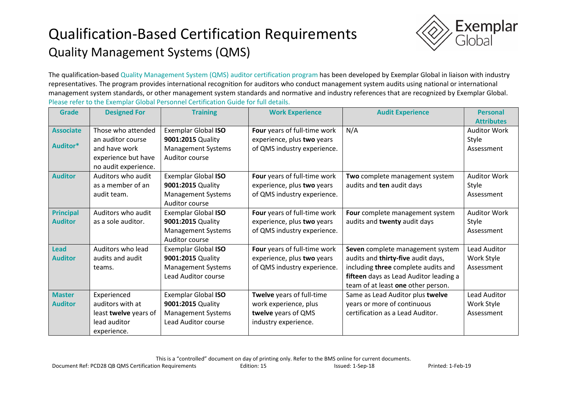## Qualification-Based Certification Requirements Quality Management Systems (QMS)



The qualification-based Quality Management System (QMS) auditor certification program has been developed by Exemplar Global in liaison with industry representatives. The program provides international recognition for auditors who conduct management system audits using national or international management system standards, or other management system standards and normative and industry references that are recognized by Exemplar Global. Please refer to the Exemplar Global Personnel Certification Guide for full details.

| <b>Grade</b>     | <b>Designed For</b>   | <b>Training</b>            | <b>Work Experience</b>       | <b>Audit Experience</b>                | <b>Personal</b>     |
|------------------|-----------------------|----------------------------|------------------------------|----------------------------------------|---------------------|
|                  |                       |                            |                              |                                        | <b>Attributes</b>   |
| <b>Associate</b> | Those who attended    | Exemplar Global ISO        | Four years of full-time work | N/A                                    | <b>Auditor Work</b> |
|                  | an auditor course     | 9001:2015 Quality          | experience, plus two years   |                                        | Style               |
| Auditor*         | and have work         | <b>Management Systems</b>  | of QMS industry experience.  |                                        | Assessment          |
|                  | experience but have   | Auditor course             |                              |                                        |                     |
|                  | no audit experience.  |                            |                              |                                        |                     |
| <b>Auditor</b>   | Auditors who audit    | <b>Exemplar Global ISO</b> | Four years of full-time work | Two complete management system         | <b>Auditor Work</b> |
|                  | as a member of an     | 9001:2015 Quality          | experience, plus two years   | audits and ten audit days              | Style               |
|                  | audit team.           | <b>Management Systems</b>  | of QMS industry experience.  |                                        | Assessment          |
|                  |                       | Auditor course             |                              |                                        |                     |
| <b>Principal</b> | Auditors who audit    | Exemplar Global ISO        | Four years of full-time work | Four complete management system        | <b>Auditor Work</b> |
| <b>Auditor</b>   | as a sole auditor.    | 9001:2015 Quality          | experience, plus two years   | audits and twenty audit days           | Style               |
|                  |                       | <b>Management Systems</b>  | of QMS industry experience.  |                                        | Assessment          |
|                  |                       | Auditor course             |                              |                                        |                     |
| <b>Lead</b>      | Auditors who lead     | Exemplar Global ISO        | Four years of full-time work | Seven complete management system       | Lead Auditor        |
| <b>Auditor</b>   | audits and audit      | 9001:2015 Quality          | experience, plus two years   | audits and thirty-five audit days,     | Work Style          |
|                  | teams.                | <b>Management Systems</b>  | of QMS industry experience.  | including three complete audits and    | Assessment          |
|                  |                       | <b>Lead Auditor course</b> |                              | fifteen days as Lead Auditor leading a |                     |
|                  |                       |                            |                              | team of at least one other person.     |                     |
| <b>Master</b>    | Experienced           | Exemplar Global ISO        | Twelve years of full-time    | Same as Lead Auditor plus twelve       | <b>Lead Auditor</b> |
| <b>Auditor</b>   | auditors with at      | 9001:2015 Quality          | work experience, plus        | years or more of continuous            | Work Style          |
|                  | least twelve years of | <b>Management Systems</b>  | twelve years of QMS          | certification as a Lead Auditor.       | Assessment          |
|                  | lead auditor          | Lead Auditor course        | industry experience.         |                                        |                     |
|                  | experience.           |                            |                              |                                        |                     |

This is a "controlled" document on day of printing only. Refer to the BMS online for current documents.